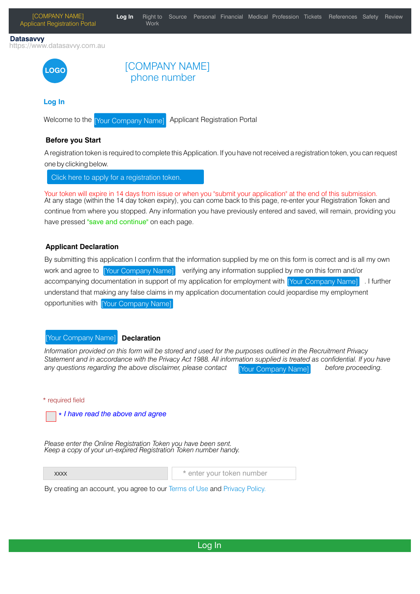

A registration token is required to complete this Application. If you have not received a registration token, you can request one by clicking below.

Click here to apply for a registration token.

Your token will expire in 14 days from issue or when you "submit your application" at the end of this submission. At any stage (within the 14 day token expiry), you can come back to this page, re-enter your Registration Token and continue from where you stopped. Any information you have previously entered and saved, will remain, providing you have pressed "save and continue" on each page.

## **Applicant Declaration**

By submitting this application I confirm that the information supplied by me on this form is correct and is all my own verifying any information supplied by me on this form and/or accompanying documentation in support of my application for employment with [Your Company Name] 1 I further understand that making any false claims in my application documentation could jeopardise my employment opportunities with [Your Company Name] work and agree to [Your Company Name]

#### **Declaration** Your Company Name]

*Information provided on this form will be stored and used for the purposes outlined in the Recruitment Privacy Statement and in accordance with the Privacy Act 1988. All information supplied is treated as confidential. If you have* any questions regarding the above disclaimer, please contact **Figure Company Namel** before proceeding. [Your Company Name]

\* required field



*Please enter the Online Registration Token you have been sent. Keep a copy of your un-expired Registration Token number handy.*

xxxx

\* enter your token number

By creating an account, you agree to our Terms of Use and Privacy Policy.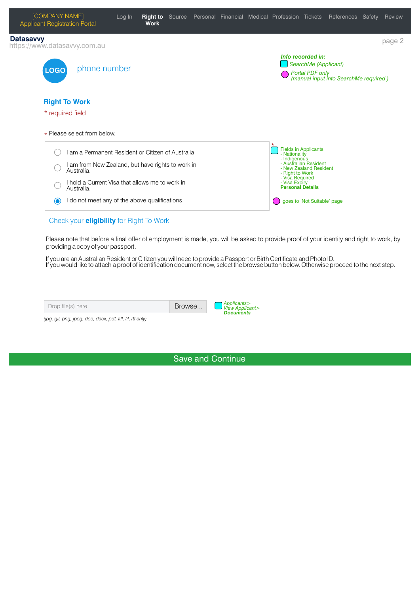

#### Check your **eligibility** for Right To Work

Please note that before a final offer of employment is made, you will be asked to provide proof of your identity and right to work, by providing a copy of your passport.

If you are an Australian Resident or Citizen you will need to provide a Passport or Birth Certificate and Photo ID. If you would like to attach a proof of identification document now, select the browse button below. Otherwise proceed to the next step.

| Drop file(s) here | Browse | Applicants ><br>$\triangle$ View Applicant><br><b>Documents</b> |
|-------------------|--------|-----------------------------------------------------------------|
|                   |        |                                                                 |

*(jpg, gif, png, jpeg, doc, docx, pdf, tiff, tif, rtf only)*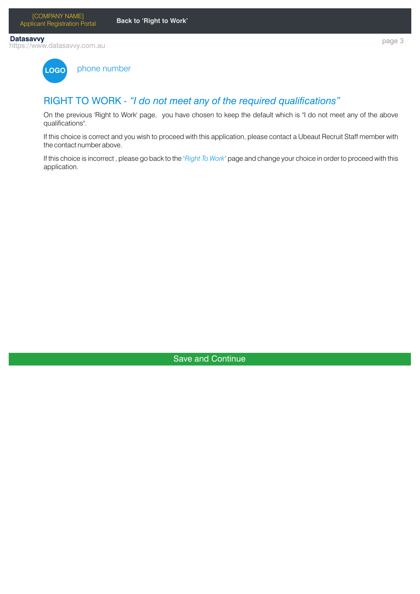page 3

https://www.datasavvy.com.au **Datasavvy**



phone number

# RIGHT TO WORK - "I do not meet any of the required qualifications"

On the previous 'Right to Work' page, you have chosen to keep the default which is "I do not meet any of the above qualifications".

If this choice is correct and you wish to proceed with this application, please contact a Ubeaut Recruit Staff member with the contact number above.

If this choice is incorrect , please go back to the *"Right To Work"* page and change your choice in order to proceed with this application.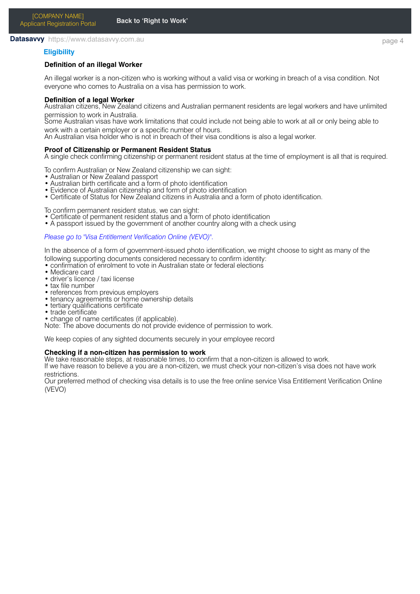#### **Datasavvy** https://www.datasavvy.com.au

### **Eligibility**

### **Definition of an illegal Worker**

An illegal worker is a non-citizen who is working without a valid visa or working in breach of a visa condition. Not everyone who comes to Australia on a visa has permission to work.

#### **Definition of a legal Worker**

Australian citizens, New Zealand citizens and Australian permanent residents are legal workers and have unlimited permission to work in Australia.

Some Australian visas have work limitations that could include not being able to work at all or only being able to work with a certain employer or a specific number of hours.

An Australian visa holder who is not in breach of their visa conditions is also a legal worker.

#### **Proof of Citizenship or Permanent Resident Status**

A single check confirming citizenship or permanent resident status at the time of employment is all that is required.

To confirm Australian or New Zealand citizenship we can sight:

- Australian or New Zealand passport
- Australian birth certificate and a form of photo identification
- Evidence of Australian citizenship and form of photo identification
- Certificate of Status for New Zealand citizens in Australia and a form of photo identification.

To confirm permanent resident status, we can sight:

• Certificate of permanent resident status and a form of photo identification

• A passport issued by the government of another country along with a check using

#### *Please go to "Visa Entitlement Verification Online (VEVO)".*

In the absence of a form of government-issued photo identification, we might choose to sight as many of the following supporting documents considered necessary to confirm identity:

- confirmation of enrolment to vote in Australian state or federal elections
- Medicare card
- driver's licence / taxi license
- $\bullet$  tax file number
- references from previous employers
- tenancy agreements or home ownership details
- tertiary qualifications certificate
- trade certificate
- change of name certificates (if applicable).

Note: The above documents do not provide evidence of permission to work.

We keep copies of any sighted documents securely in your employee record

#### **Checking if a non-citizen has permission to work**

We take reasonable steps, at reasonable times, to confirm that a non-citizen is allowed to work. If we have reason to believe a you are a non-citizen, we must check your non-citizen's visa does not have work restrictions.

Our preferred method of checking visa details is to use the free online service Visa Entitlement Verification Online (VEVO)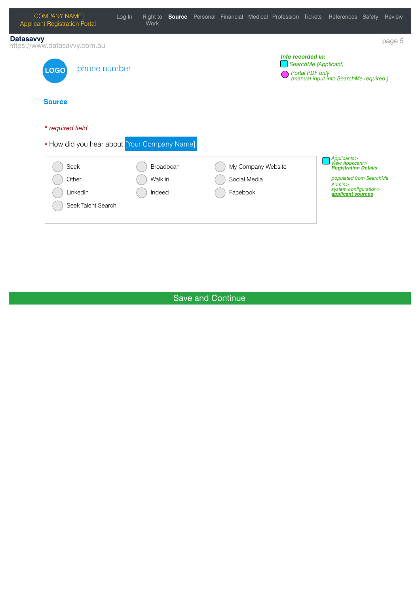| <b>Work</b>                        |                                              |                                      |                    |       |                                                                                                                    | Review                                                                                                                                                                                                                        |
|------------------------------------|----------------------------------------------|--------------------------------------|--------------------|-------|--------------------------------------------------------------------------------------------------------------------|-------------------------------------------------------------------------------------------------------------------------------------------------------------------------------------------------------------------------------|
|                                    |                                              |                                      |                    |       |                                                                                                                    | page 5                                                                                                                                                                                                                        |
|                                    |                                              |                                      |                    |       |                                                                                                                    |                                                                                                                                                                                                                               |
|                                    |                                              |                                      |                    |       |                                                                                                                    |                                                                                                                                                                                                                               |
|                                    |                                              |                                      |                    |       |                                                                                                                    |                                                                                                                                                                                                                               |
| Broadbean<br>Walk in<br>Indeed     |                                              |                                      |                    | Admin |                                                                                                                    |                                                                                                                                                                                                                               |
| phone number<br>Seek Talent Search | * How did you hear about [Your Company Name] | Right to<br>Social Media<br>Facebook | My Company Website |       | Log In<br><b>Source</b> Personal Financial Medical Profession Tickets<br>Info recorded in:<br>SearchMe (Applicant) | References Safety<br>Portal PDF only<br>(manual input into SearchMe required)<br>Applicants><br>View Applicant><br><mark>Registration Details</mark><br>populated from SearchMe<br>system configuration><br>applicant sources |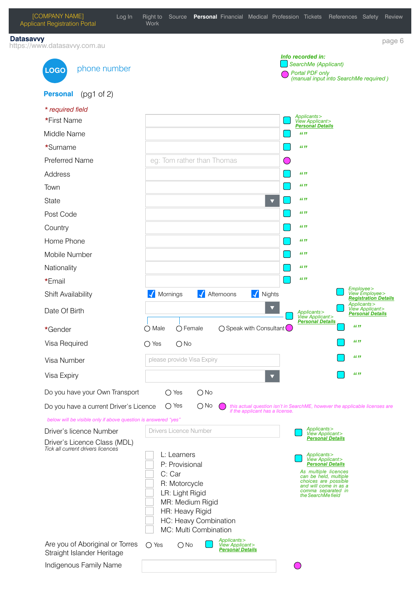| <b>Datasavvy</b><br>https://www.datasavvy.com.au                  |                                                                                                                       | page 6                                                                                                |
|-------------------------------------------------------------------|-----------------------------------------------------------------------------------------------------------------------|-------------------------------------------------------------------------------------------------------|
| phone number<br><b>LOGO</b>                                       |                                                                                                                       | Info recorded in:<br>SearchMe (Applicant)<br>Portal PDF only<br>(manual input into SearchMe required) |
| <b>Personal</b><br>$(pq1$ of 2)                                   |                                                                                                                       |                                                                                                       |
| * required field                                                  |                                                                                                                       |                                                                                                       |
| *First Name                                                       |                                                                                                                       | Applicants><br>View Applicant><br><b>Personal Details</b>                                             |
| Middle Name                                                       |                                                                                                                       | 66.99                                                                                                 |
| *Surname                                                          |                                                                                                                       | 66.99                                                                                                 |
| <b>Preferred Name</b>                                             | eg: Tom rather than Thomas                                                                                            | $(\ )$                                                                                                |
| Address                                                           |                                                                                                                       | 66 99                                                                                                 |
| Town                                                              |                                                                                                                       | 66 99                                                                                                 |
| State                                                             | $\blacktriangledown$                                                                                                  | 66.99                                                                                                 |
| Post Code                                                         |                                                                                                                       | 66.99                                                                                                 |
| Country                                                           |                                                                                                                       | 66 99                                                                                                 |
| Home Phone                                                        |                                                                                                                       | 66 99                                                                                                 |
| Mobile Number                                                     |                                                                                                                       | 66 99                                                                                                 |
| Nationality                                                       |                                                                                                                       | 66 99                                                                                                 |
| *Email                                                            |                                                                                                                       | 66 99                                                                                                 |
| Shift Availability                                                | V Nights<br>Mornings<br>Afternoons                                                                                    | Employee><br>View Employee><br><mark>Registration Details</mark>                                      |
|                                                                   |                                                                                                                       |                                                                                                       |
| Date Of Birth                                                     |                                                                                                                       | Applicants><br>View Applicant><br>Applicants><br>View Applicant><br><b>Personal Details</b>           |
| *Gender                                                           | $\bigcirc$ Female<br>$\bigcirc$ Speak with Consultant<br>$\bigcap$ Male                                               | <b>Personal Details</b><br>66.99                                                                      |
| Visa Required                                                     | $\bigcirc$ No<br>$\bigcirc$ Yes                                                                                       | 66.99                                                                                                 |
| Visa Number                                                       | please provide Visa Expiry                                                                                            | 66.99                                                                                                 |
| Visa Expiry                                                       |                                                                                                                       | 66.99                                                                                                 |
| Do you have your Own Transport                                    | $\bigcirc$ Yes<br>$\bigcirc$ No                                                                                       |                                                                                                       |
| Do you have a current Driver's Licence                            | $\bigcirc$ Yes<br>$\bigcirc$ No<br>if the applicant has a license.                                                    |                                                                                                       |
| below will be visible only if above question is answered "yes"    |                                                                                                                       |                                                                                                       |
| Driver's licence Number                                           | Drivers Licence Number                                                                                                | Applicants><br>View Applicant><br><b>Personal Details</b>                                             |
| Driver's Licence Class (MDL)<br>Tick all current drivers licences |                                                                                                                       |                                                                                                       |
|                                                                   | L: Learners                                                                                                           | Applicants><br>View Applicant><br><b>Personal Details</b>                                             |
|                                                                   | P: Provisional<br>C: Car                                                                                              | As multiple licences<br>can be held, multiple                                                         |
|                                                                   | R: Motorcycle                                                                                                         | choices are possible<br>and will come in as a                                                         |
|                                                                   | LR: Light Rigid<br>MR: Medium Rigid                                                                                   | comma separated in<br>the SearchMe field                                                              |
|                                                                   | HR: Heavy Rigid                                                                                                       |                                                                                                       |
|                                                                   | HC: Heavy Combination                                                                                                 | this actual question isn't in SearchME, however the applicable licenses are                           |
| Are you of Aboriginal or Torres<br>Straight Islander Heritage     | MC: Multi Combination<br>Applicants><br>$\bigcirc$ Yes<br>$\bigcirc$ No<br>View Applicant><br><b>Personal Details</b> |                                                                                                       |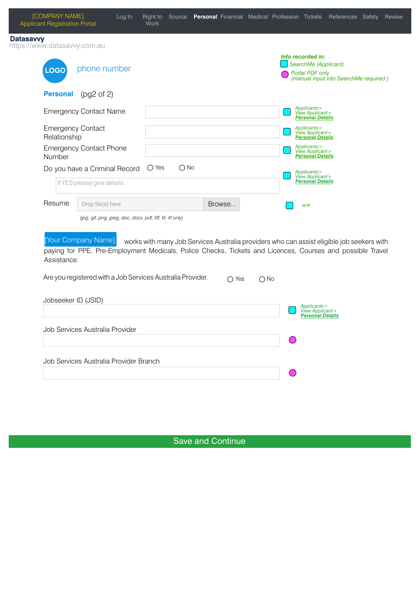| Datasavvy                                |                                                            |                                                            |                |                                                                                                                                                                                                                         |
|------------------------------------------|------------------------------------------------------------|------------------------------------------------------------|----------------|-------------------------------------------------------------------------------------------------------------------------------------------------------------------------------------------------------------------------|
| https://www.datasavvy.com.au             |                                                            |                                                            |                | Info recorded in:                                                                                                                                                                                                       |
| <b>LOGO</b>                              | phone number                                               |                                                            |                | SearchMe (Applicant)<br>Portal PDF only                                                                                                                                                                                 |
|                                          |                                                            |                                                            |                | (manual input into SearchMe required)                                                                                                                                                                                   |
| <b>Personal</b>                          | (pg2 of 2)                                                 |                                                            |                |                                                                                                                                                                                                                         |
|                                          | <b>Emergency Contact Name</b>                              |                                                            |                | Applicants ><br>View Applicant ><br><b>Personal Details</b>                                                                                                                                                             |
| <b>Emergency Contact</b><br>Relationship |                                                            |                                                            |                | Applicants><br>View Applicant><br>Personal Details                                                                                                                                                                      |
| Number                                   | <b>Emergency Contact Phone</b>                             |                                                            |                | Applicants><br>View Applicant><br>Personal Details                                                                                                                                                                      |
|                                          | Do you have a Criminal Record                              | $\bigcirc$ Yes<br>$\bigcirc$ No                            |                | Applicants ><br>View Applicant >                                                                                                                                                                                        |
|                                          | If YES please give details.                                |                                                            |                | <b>Personal Details</b>                                                                                                                                                                                                 |
| Resume                                   | Drop file(s) here                                          |                                                            | Browse         | 66.99                                                                                                                                                                                                                   |
|                                          | (jpg, gif, png, jpeg, doc, docx, pdf, tiff, tif, rtf only) |                                                            |                |                                                                                                                                                                                                                         |
| Assistance.                              | [Your Company Name]                                        | Are you registered with a Job Services Australia Provider. |                | works with many Job Services Australia providers who can assist eligible job seekers with<br>paying for PPE, Pre-Employment Medicals, Police Checks, Tickets and Licences, Courses and possible Travel<br>$\bigcirc$ No |
|                                          |                                                            |                                                            | $\bigcirc$ Yes |                                                                                                                                                                                                                         |
| Jobseeker ID (JSID)                      |                                                            |                                                            |                |                                                                                                                                                                                                                         |
|                                          |                                                            |                                                            |                | Applicants><br>View Applicant><br><b>Personal Details</b>                                                                                                                                                               |
|                                          | Job Services Australia Provider                            |                                                            |                |                                                                                                                                                                                                                         |
|                                          |                                                            |                                                            |                |                                                                                                                                                                                                                         |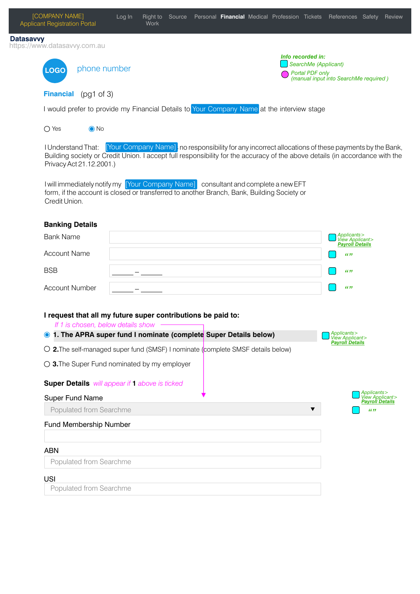| <b>Datasavvy</b><br>https://www.datasavvy.com.au<br>Info recorded in:<br>SearchMe (Applicant)<br>phone number<br><b>LOGO</b><br>Portal PDF only<br>(manual input into SearchMe required)<br><b>Financial</b><br>(pg1 of 3)<br>I would prefer to provide my Financial Details to Your Company Name at the interview stage<br>$\bigcirc$ Yes<br>$\odot$ No<br>[Your Company Name]: no responsibility for any incorrect allocations of these payments by the Bank,<br><b>I Understand That:</b><br>Building society or Credit Union. I accept full responsibility for the accuracy of the above details (in accordance with the<br>Privacy Act 21.12.2001.)<br>I will immediately notify my [Your Company Name] consultant and complete a new EFT<br>form, if the account is closed or transferred to another Branch, Bank, Building Society or<br>Credit Union.<br><b>Banking Details</b><br>Applicants><br>View Applicant><br>Payroll Details<br><b>Bank Name</b><br><b>Account Name</b><br>66.99<br><b>BSB</b><br>66.99<br><b>Account Number</b><br>66.99<br>I request that all my future super contributions be paid to:<br>If 1 is chosen, below details show<br>1. The APRA super fund I nominate (complete Super Details below)<br>Applicants><br>View Applicant><br>$\odot$<br><b>Payroll Details</b><br>O 2. The self-managed super fund (SMSF) I nominate (complete SMSF details below)<br>$\bigcirc$ 3. The Super Fund nominated by my employer<br>Super Details will appear if 1 above is ticked<br>Applicants><br>View Applicant><br><b>Super Fund Name</b><br><b>Payroll Details</b><br>Populated from Searchme<br>66.99<br>Fund Membership Number<br><b>ABN</b><br>Populated from Searchme<br><b>USI</b><br>Populated from Searchme | [COMPANY NAME]<br><b>Applicant Registration Portal</b> | Log In<br><b>Work</b> | Right to Source Personal Financial Medical Profession Tickets References Safety Review |  |
|-------------------------------------------------------------------------------------------------------------------------------------------------------------------------------------------------------------------------------------------------------------------------------------------------------------------------------------------------------------------------------------------------------------------------------------------------------------------------------------------------------------------------------------------------------------------------------------------------------------------------------------------------------------------------------------------------------------------------------------------------------------------------------------------------------------------------------------------------------------------------------------------------------------------------------------------------------------------------------------------------------------------------------------------------------------------------------------------------------------------------------------------------------------------------------------------------------------------------------------------------------------------------------------------------------------------------------------------------------------------------------------------------------------------------------------------------------------------------------------------------------------------------------------------------------------------------------------------------------------------------------------------------------------------------------------------------------------------------------------------------|--------------------------------------------------------|-----------------------|----------------------------------------------------------------------------------------|--|
|                                                                                                                                                                                                                                                                                                                                                                                                                                                                                                                                                                                                                                                                                                                                                                                                                                                                                                                                                                                                                                                                                                                                                                                                                                                                                                                                                                                                                                                                                                                                                                                                                                                                                                                                                 |                                                        |                       |                                                                                        |  |
|                                                                                                                                                                                                                                                                                                                                                                                                                                                                                                                                                                                                                                                                                                                                                                                                                                                                                                                                                                                                                                                                                                                                                                                                                                                                                                                                                                                                                                                                                                                                                                                                                                                                                                                                                 |                                                        |                       |                                                                                        |  |
|                                                                                                                                                                                                                                                                                                                                                                                                                                                                                                                                                                                                                                                                                                                                                                                                                                                                                                                                                                                                                                                                                                                                                                                                                                                                                                                                                                                                                                                                                                                                                                                                                                                                                                                                                 |                                                        |                       |                                                                                        |  |
|                                                                                                                                                                                                                                                                                                                                                                                                                                                                                                                                                                                                                                                                                                                                                                                                                                                                                                                                                                                                                                                                                                                                                                                                                                                                                                                                                                                                                                                                                                                                                                                                                                                                                                                                                 |                                                        |                       |                                                                                        |  |
|                                                                                                                                                                                                                                                                                                                                                                                                                                                                                                                                                                                                                                                                                                                                                                                                                                                                                                                                                                                                                                                                                                                                                                                                                                                                                                                                                                                                                                                                                                                                                                                                                                                                                                                                                 |                                                        |                       |                                                                                        |  |
|                                                                                                                                                                                                                                                                                                                                                                                                                                                                                                                                                                                                                                                                                                                                                                                                                                                                                                                                                                                                                                                                                                                                                                                                                                                                                                                                                                                                                                                                                                                                                                                                                                                                                                                                                 |                                                        |                       |                                                                                        |  |
|                                                                                                                                                                                                                                                                                                                                                                                                                                                                                                                                                                                                                                                                                                                                                                                                                                                                                                                                                                                                                                                                                                                                                                                                                                                                                                                                                                                                                                                                                                                                                                                                                                                                                                                                                 |                                                        |                       |                                                                                        |  |
|                                                                                                                                                                                                                                                                                                                                                                                                                                                                                                                                                                                                                                                                                                                                                                                                                                                                                                                                                                                                                                                                                                                                                                                                                                                                                                                                                                                                                                                                                                                                                                                                                                                                                                                                                 |                                                        |                       |                                                                                        |  |
|                                                                                                                                                                                                                                                                                                                                                                                                                                                                                                                                                                                                                                                                                                                                                                                                                                                                                                                                                                                                                                                                                                                                                                                                                                                                                                                                                                                                                                                                                                                                                                                                                                                                                                                                                 |                                                        |                       |                                                                                        |  |
|                                                                                                                                                                                                                                                                                                                                                                                                                                                                                                                                                                                                                                                                                                                                                                                                                                                                                                                                                                                                                                                                                                                                                                                                                                                                                                                                                                                                                                                                                                                                                                                                                                                                                                                                                 |                                                        |                       |                                                                                        |  |
|                                                                                                                                                                                                                                                                                                                                                                                                                                                                                                                                                                                                                                                                                                                                                                                                                                                                                                                                                                                                                                                                                                                                                                                                                                                                                                                                                                                                                                                                                                                                                                                                                                                                                                                                                 |                                                        |                       |                                                                                        |  |
|                                                                                                                                                                                                                                                                                                                                                                                                                                                                                                                                                                                                                                                                                                                                                                                                                                                                                                                                                                                                                                                                                                                                                                                                                                                                                                                                                                                                                                                                                                                                                                                                                                                                                                                                                 |                                                        |                       |                                                                                        |  |
|                                                                                                                                                                                                                                                                                                                                                                                                                                                                                                                                                                                                                                                                                                                                                                                                                                                                                                                                                                                                                                                                                                                                                                                                                                                                                                                                                                                                                                                                                                                                                                                                                                                                                                                                                 |                                                        |                       |                                                                                        |  |
|                                                                                                                                                                                                                                                                                                                                                                                                                                                                                                                                                                                                                                                                                                                                                                                                                                                                                                                                                                                                                                                                                                                                                                                                                                                                                                                                                                                                                                                                                                                                                                                                                                                                                                                                                 |                                                        |                       |                                                                                        |  |
|                                                                                                                                                                                                                                                                                                                                                                                                                                                                                                                                                                                                                                                                                                                                                                                                                                                                                                                                                                                                                                                                                                                                                                                                                                                                                                                                                                                                                                                                                                                                                                                                                                                                                                                                                 |                                                        |                       |                                                                                        |  |
|                                                                                                                                                                                                                                                                                                                                                                                                                                                                                                                                                                                                                                                                                                                                                                                                                                                                                                                                                                                                                                                                                                                                                                                                                                                                                                                                                                                                                                                                                                                                                                                                                                                                                                                                                 |                                                        |                       |                                                                                        |  |
|                                                                                                                                                                                                                                                                                                                                                                                                                                                                                                                                                                                                                                                                                                                                                                                                                                                                                                                                                                                                                                                                                                                                                                                                                                                                                                                                                                                                                                                                                                                                                                                                                                                                                                                                                 |                                                        |                       |                                                                                        |  |
|                                                                                                                                                                                                                                                                                                                                                                                                                                                                                                                                                                                                                                                                                                                                                                                                                                                                                                                                                                                                                                                                                                                                                                                                                                                                                                                                                                                                                                                                                                                                                                                                                                                                                                                                                 |                                                        |                       |                                                                                        |  |
|                                                                                                                                                                                                                                                                                                                                                                                                                                                                                                                                                                                                                                                                                                                                                                                                                                                                                                                                                                                                                                                                                                                                                                                                                                                                                                                                                                                                                                                                                                                                                                                                                                                                                                                                                 |                                                        |                       |                                                                                        |  |
|                                                                                                                                                                                                                                                                                                                                                                                                                                                                                                                                                                                                                                                                                                                                                                                                                                                                                                                                                                                                                                                                                                                                                                                                                                                                                                                                                                                                                                                                                                                                                                                                                                                                                                                                                 |                                                        |                       |                                                                                        |  |
|                                                                                                                                                                                                                                                                                                                                                                                                                                                                                                                                                                                                                                                                                                                                                                                                                                                                                                                                                                                                                                                                                                                                                                                                                                                                                                                                                                                                                                                                                                                                                                                                                                                                                                                                                 |                                                        |                       |                                                                                        |  |
|                                                                                                                                                                                                                                                                                                                                                                                                                                                                                                                                                                                                                                                                                                                                                                                                                                                                                                                                                                                                                                                                                                                                                                                                                                                                                                                                                                                                                                                                                                                                                                                                                                                                                                                                                 |                                                        |                       |                                                                                        |  |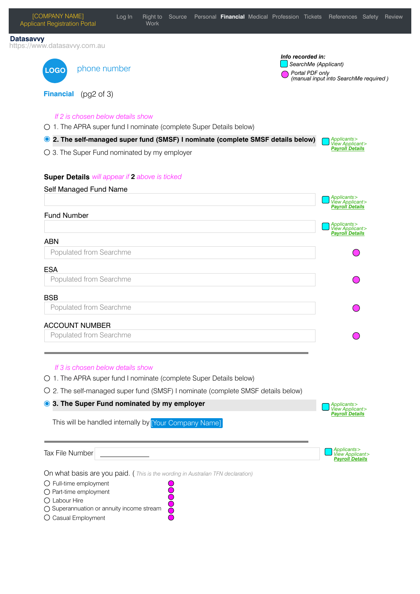

O Casual Employment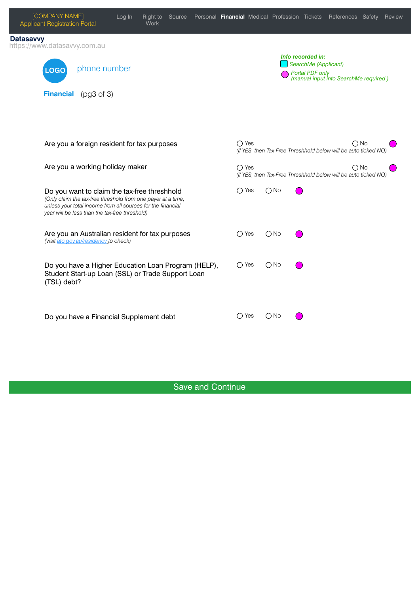| [COMPANY NAME]<br><b>Applicant Registration Portal</b>                                                                                                        | Log In<br><b>Work</b>                                                                                    |                |                                      | Right to Source Personal Financial Medical Profession Tickets References Safety<br>Review |  |
|---------------------------------------------------------------------------------------------------------------------------------------------------------------|----------------------------------------------------------------------------------------------------------|----------------|--------------------------------------|-------------------------------------------------------------------------------------------|--|
| <b>Datasavvy</b><br>https://www.datasavvy.com.au                                                                                                              |                                                                                                          |                |                                      |                                                                                           |  |
| phone number<br><b>LOGO</b>                                                                                                                                   |                                                                                                          |                | Info recorded in:<br>Portal PDF only | SearchMe (Applicant)<br>(manual input into SearchMe required)                             |  |
| (pg3 of 3)<br><b>Financial</b>                                                                                                                                |                                                                                                          |                |                                      |                                                                                           |  |
|                                                                                                                                                               |                                                                                                          |                |                                      |                                                                                           |  |
| Are you a foreign resident for tax purposes                                                                                                                   |                                                                                                          | $\bigcirc$ Yes |                                      | $\bigcirc$ No<br>(If YES, then Tax-Free Threshhold below will be auto ticked NO)          |  |
| Are you a working holiday maker                                                                                                                               |                                                                                                          | $\bigcirc$ Yes |                                      | $\bigcap$ No<br>(If YES, then Tax-Free Threshhold below will be auto ticked NO)           |  |
| Do you want to claim the tax-free threshhold<br>unless your total income from all sources for the financial<br>year will be less than the tax-free threshold) | (Only claim the tax-free threshold from one payer at a time,                                             | $\bigcirc$ Yes | $\bigcirc$ No                        |                                                                                           |  |
| (Visit ato.gov.au/residency to check)                                                                                                                         | Are you an Australian resident for tax purposes                                                          | $\bigcirc$ Yes | $\bigcirc$ No                        |                                                                                           |  |
| (TSL) debt?                                                                                                                                                   | Do you have a Higher Education Loan Program (HELP),<br>Student Start-up Loan (SSL) or Trade Support Loan | $\bigcirc$ Yes | $\bigcirc$ No                        |                                                                                           |  |
| Do you have a Financial Supplement debt                                                                                                                       |                                                                                                          | $\bigcirc$ Yes | $\bigcirc$ No                        |                                                                                           |  |

 $\overline{C}$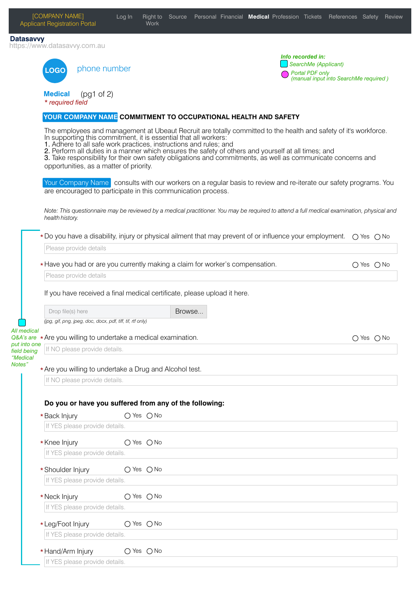| <b>LOGO</b><br><b>Medical</b><br>* required field<br>health history.           | phone number<br>(pg1 of 2)<br>YOUR COMPANY NAME COMMITMENT TO OCCUPATIONAL HEALTH AND SAFETY<br>In supporting this commitment, it is essential that all workers:<br>1. Adhere to all safe work practices, instructions and rules; and<br>opportunities, as a matter of priority.<br>are encouraged to participate in this communication process. |                |        |  | Info recorded in:<br>Portal PDF only<br>The employees and management at Ubeaut Recruit are totally committed to the health and safety of it's workforce.<br>2. Perform all duties in a manner which ensures the safety of others and yourself at all times; and<br>3. Take responsibility for their own safety obligations and commitments, as well as communicate concerns and | SearchMe (Applicant)<br>(manual input into SearchMe required) |                |  |
|--------------------------------------------------------------------------------|--------------------------------------------------------------------------------------------------------------------------------------------------------------------------------------------------------------------------------------------------------------------------------------------------------------------------------------------------|----------------|--------|--|---------------------------------------------------------------------------------------------------------------------------------------------------------------------------------------------------------------------------------------------------------------------------------------------------------------------------------------------------------------------------------|---------------------------------------------------------------|----------------|--|
|                                                                                |                                                                                                                                                                                                                                                                                                                                                  |                |        |  |                                                                                                                                                                                                                                                                                                                                                                                 |                                                               |                |  |
|                                                                                |                                                                                                                                                                                                                                                                                                                                                  |                |        |  |                                                                                                                                                                                                                                                                                                                                                                                 |                                                               |                |  |
|                                                                                |                                                                                                                                                                                                                                                                                                                                                  |                |        |  |                                                                                                                                                                                                                                                                                                                                                                                 |                                                               |                |  |
|                                                                                |                                                                                                                                                                                                                                                                                                                                                  |                |        |  |                                                                                                                                                                                                                                                                                                                                                                                 |                                                               |                |  |
|                                                                                |                                                                                                                                                                                                                                                                                                                                                  |                |        |  | Your Company Name consults with our workers on a regular basis to review and re-iterate our safety programs. You                                                                                                                                                                                                                                                                |                                                               |                |  |
|                                                                                |                                                                                                                                                                                                                                                                                                                                                  |                |        |  | Note: This questionnaire may be reviewed by a medical practitioner. You may be required to attend a full medical examination, physical and                                                                                                                                                                                                                                      |                                                               |                |  |
|                                                                                |                                                                                                                                                                                                                                                                                                                                                  |                |        |  | * Do you have a disability, injury or physical ailment that may prevent of or influence your employment. $\bigcirc$ Yes $\bigcirc$ No                                                                                                                                                                                                                                           |                                                               |                |  |
|                                                                                | Please provide details                                                                                                                                                                                                                                                                                                                           |                |        |  |                                                                                                                                                                                                                                                                                                                                                                                 |                                                               |                |  |
|                                                                                | * Have you had or are you currently making a claim for worker's compensation.                                                                                                                                                                                                                                                                    |                |        |  |                                                                                                                                                                                                                                                                                                                                                                                 |                                                               | $O$ Yes $O$ No |  |
|                                                                                | Please provide details                                                                                                                                                                                                                                                                                                                           |                |        |  |                                                                                                                                                                                                                                                                                                                                                                                 |                                                               |                |  |
| Drop file(s) here                                                              | If you have received a final medical certificate, please upload it here.                                                                                                                                                                                                                                                                         |                | Browse |  |                                                                                                                                                                                                                                                                                                                                                                                 |                                                               |                |  |
|                                                                                | (jpg, gif, png, jpeg, doc, docx, pdf, tiff, tif, rtf only)                                                                                                                                                                                                                                                                                       |                |        |  |                                                                                                                                                                                                                                                                                                                                                                                 |                                                               |                |  |
| All medical<br>Q&A's are ★ Are you willing to undertake a medical examination. |                                                                                                                                                                                                                                                                                                                                                  |                |        |  |                                                                                                                                                                                                                                                                                                                                                                                 |                                                               | ○ Yes ○ No     |  |
| put into one<br>field being                                                    | If NO please provide details.                                                                                                                                                                                                                                                                                                                    |                |        |  |                                                                                                                                                                                                                                                                                                                                                                                 |                                                               |                |  |
| "Medical                                                                       | * Are you willing to undertake a Drug and Alcohol test.                                                                                                                                                                                                                                                                                          |                |        |  |                                                                                                                                                                                                                                                                                                                                                                                 |                                                               |                |  |
|                                                                                | If NO please provide details.                                                                                                                                                                                                                                                                                                                    |                |        |  |                                                                                                                                                                                                                                                                                                                                                                                 |                                                               |                |  |
|                                                                                |                                                                                                                                                                                                                                                                                                                                                  |                |        |  |                                                                                                                                                                                                                                                                                                                                                                                 |                                                               |                |  |
|                                                                                | Do you or have you suffered from any of the following:                                                                                                                                                                                                                                                                                           |                |        |  |                                                                                                                                                                                                                                                                                                                                                                                 |                                                               |                |  |
| *Back Injury                                                                   |                                                                                                                                                                                                                                                                                                                                                  | ○ Yes ○ No     |        |  |                                                                                                                                                                                                                                                                                                                                                                                 |                                                               |                |  |
|                                                                                | If YES please provide details.                                                                                                                                                                                                                                                                                                                   |                |        |  |                                                                                                                                                                                                                                                                                                                                                                                 |                                                               |                |  |
| * Knee Injury                                                                  |                                                                                                                                                                                                                                                                                                                                                  | $O$ Yes $O$ No |        |  |                                                                                                                                                                                                                                                                                                                                                                                 |                                                               |                |  |
|                                                                                | If YES please provide details.                                                                                                                                                                                                                                                                                                                   |                |        |  |                                                                                                                                                                                                                                                                                                                                                                                 |                                                               |                |  |
| *Shoulder Injury                                                               |                                                                                                                                                                                                                                                                                                                                                  | ○ Yes ○ No     |        |  |                                                                                                                                                                                                                                                                                                                                                                                 |                                                               |                |  |
|                                                                                | If YES please provide details.                                                                                                                                                                                                                                                                                                                   |                |        |  |                                                                                                                                                                                                                                                                                                                                                                                 |                                                               |                |  |
|                                                                                |                                                                                                                                                                                                                                                                                                                                                  |                |        |  |                                                                                                                                                                                                                                                                                                                                                                                 |                                                               |                |  |
| * Neck Injury                                                                  | If YES please provide details.                                                                                                                                                                                                                                                                                                                   | ○ Yes ○ No     |        |  |                                                                                                                                                                                                                                                                                                                                                                                 |                                                               |                |  |
|                                                                                |                                                                                                                                                                                                                                                                                                                                                  |                |        |  |                                                                                                                                                                                                                                                                                                                                                                                 |                                                               |                |  |
| *Leg/Foot Injury                                                               |                                                                                                                                                                                                                                                                                                                                                  | ○ Yes ○ No     |        |  |                                                                                                                                                                                                                                                                                                                                                                                 |                                                               |                |  |
|                                                                                | If YES please provide details.                                                                                                                                                                                                                                                                                                                   |                |        |  |                                                                                                                                                                                                                                                                                                                                                                                 |                                                               |                |  |
| * Hand/Arm Injury                                                              |                                                                                                                                                                                                                                                                                                                                                  | $O$ Yes $O$ No |        |  |                                                                                                                                                                                                                                                                                                                                                                                 |                                                               |                |  |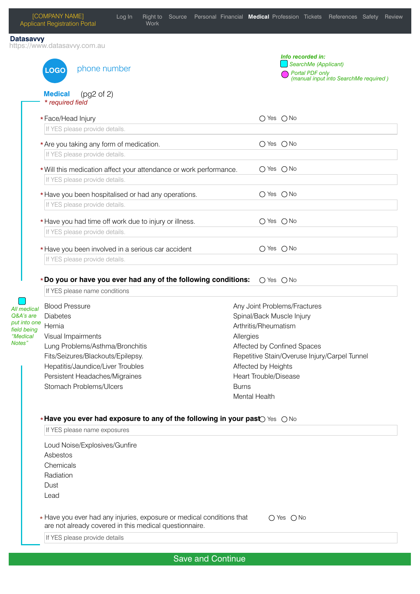|                                                                                                    | [COMPANY NAME]<br><b>Applicant Registration Portal</b>                                                                                                                                                                                   | Log In | <b>Work</b> |                          |                           |                                                                                                                                                                         |                              |                                                              | Right to Source Personal Financial Medical Profession Tickets References Safety Review |  |
|----------------------------------------------------------------------------------------------------|------------------------------------------------------------------------------------------------------------------------------------------------------------------------------------------------------------------------------------------|--------|-------------|--------------------------|---------------------------|-------------------------------------------------------------------------------------------------------------------------------------------------------------------------|------------------------------|--------------------------------------------------------------|----------------------------------------------------------------------------------------|--|
| <b>Datasavvy</b>                                                                                   | https://www.datasavvy.com.au                                                                                                                                                                                                             |        |             |                          |                           |                                                                                                                                                                         |                              |                                                              |                                                                                        |  |
|                                                                                                    | phone number<br><b>LOGO</b>                                                                                                                                                                                                              |        |             |                          |                           |                                                                                                                                                                         |                              | Info recorded in:<br>SearchMe (Applicant)<br>Portal PDF only | (manual input into SearchMe required)                                                  |  |
|                                                                                                    | <b>Medical</b><br>(pg2 of 2)<br>* required field                                                                                                                                                                                         |        |             |                          |                           |                                                                                                                                                                         |                              |                                                              |                                                                                        |  |
|                                                                                                    | *Face/Head Injury<br>If YES please provide details.                                                                                                                                                                                      |        |             |                          |                           |                                                                                                                                                                         | $O$ Yes $O$ No               |                                                              |                                                                                        |  |
|                                                                                                    | * Are you taking any form of medication.<br>If YES please provide details.                                                                                                                                                               |        |             |                          |                           |                                                                                                                                                                         | $O$ Yes $O$ No               |                                                              |                                                                                        |  |
|                                                                                                    | * Will this medication affect your attendance or work performance.<br>If YES please provide details.                                                                                                                                     |        |             |                          |                           |                                                                                                                                                                         | $O$ Yes $O$ No               |                                                              |                                                                                        |  |
|                                                                                                    | * Have you been hospitalised or had any operations.<br>If YES please provide details.                                                                                                                                                    |        |             |                          |                           |                                                                                                                                                                         | $O$ Yes $O$ No               |                                                              |                                                                                        |  |
|                                                                                                    | * Have you had time off work due to injury or illness.<br>If YES please provide details.                                                                                                                                                 |        |             |                          |                           |                                                                                                                                                                         | $O$ Yes $O$ No               |                                                              |                                                                                        |  |
|                                                                                                    | * Have you been involved in a serious car accident<br>If YES please provide details.                                                                                                                                                     |        |             |                          |                           |                                                                                                                                                                         | $O$ Yes $O$ No               |                                                              |                                                                                        |  |
|                                                                                                    | *Do you or have you ever had any of the following conditions:<br>If YES please name conditions                                                                                                                                           |        |             |                          |                           |                                                                                                                                                                         | $\bigcirc$ Yes $\bigcirc$ No |                                                              |                                                                                        |  |
| All medical<br>Q&A's are<br>put into one<br>This is the class<br>field being<br>"Medical<br>Notes" | <b>Blood Pressure</b><br><b>Diabetes</b><br>Visual Impairments<br>Lung Problems/Asthma/Bronchitis<br>Fits/Seizures/Blackouts/Epilepsy.<br>Hepatitis/Jaundice/Liver Troubles<br>Persistent Headaches/Migraines<br>Stomach Problems/Ulcers |        |             |                          | Allergies<br><b>Burns</b> | Any Joint Problems/Fractures<br>Spinal/Back Muscle Injury<br>Arthritis/Rheumatism<br>Affected by Confined Spaces<br>Affected by Heights<br><b>Heart Trouble/Disease</b> |                              |                                                              | Repetitive Stain/Overuse Injury/Carpel Tunnel                                          |  |
|                                                                                                    | *Have you ever had exposure to any of the following in your past Secondo<br>If YES please name exposures                                                                                                                                 |        |             |                          |                           | Mental Health                                                                                                                                                           |                              |                                                              |                                                                                        |  |
|                                                                                                    | Loud Noise/Explosives/Gunfire<br>Asbestos<br>Chemicals<br>Radiation<br>Dust<br>Lead                                                                                                                                                      |        |             |                          |                           |                                                                                                                                                                         |                              |                                                              |                                                                                        |  |
|                                                                                                    | * Have you ever had any injuries, exposure or medical conditions that<br>are not already covered in this medical questionnaire.                                                                                                          |        |             |                          |                           |                                                                                                                                                                         | $O$ Yes $O$ No               |                                                              |                                                                                        |  |
|                                                                                                    | If YES please provide details                                                                                                                                                                                                            |        |             |                          |                           |                                                                                                                                                                         |                              |                                                              |                                                                                        |  |
|                                                                                                    |                                                                                                                                                                                                                                          |        |             | <b>Save and Continue</b> |                           |                                                                                                                                                                         |                              |                                                              |                                                                                        |  |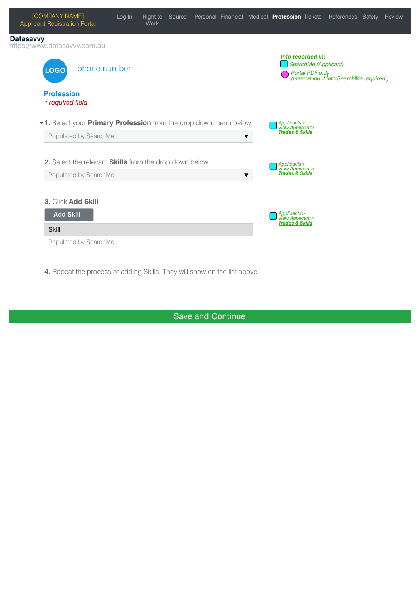| [COMPANY NAME]<br><b>Applicant Registration Portal</b>                  | Log In | Right to<br>Work |  |   | Source Personal Financial Medical Profession Tickets |                      | References Safety                                        | Review |
|-------------------------------------------------------------------------|--------|------------------|--|---|------------------------------------------------------|----------------------|----------------------------------------------------------|--------|
| <b>Datasavvy</b><br>https://www.datasavvy.com.au                        |        |                  |  |   |                                                      |                      |                                                          |        |
| phone number<br><b>LOGO</b>                                             |        |                  |  |   | Info recorded in:                                    | SearchMe (Applicant) | Portal PDF only<br>(manual input into SearchMe required) |        |
| <b>Profession</b><br>* required field                                   |        |                  |  |   |                                                      |                      |                                                          |        |
| *1. Select your <b>Primary Profession</b> from the drop down menu below |        |                  |  |   | Applicants><br>View Applicant><br>Trades & Skills    |                      |                                                          |        |
| Populated by SearchMe                                                   |        |                  |  | ▼ |                                                      |                      |                                                          |        |
| 2. Select the relevant Skills from the drop down below                  |        |                  |  |   |                                                      |                      |                                                          |        |
| Populated by SearchMe                                                   |        |                  |  | ▼ | Applicants><br>View Applicant><br>Trades & Skills    |                      |                                                          |        |
| 3. Click Add Skill                                                      |        |                  |  |   |                                                      |                      |                                                          |        |
| <b>Add Skill</b>                                                        |        |                  |  |   | Applicants><br>View Applicant>                       |                      |                                                          |        |
| <b>Skill</b>                                                            |        |                  |  |   | <b>Trades &amp; Skills</b>                           |                      |                                                          |        |
| Populated by SearchMe                                                   |        |                  |  |   |                                                      |                      |                                                          |        |

**4.** Repeat the process of adding Skills. They will show on the list above.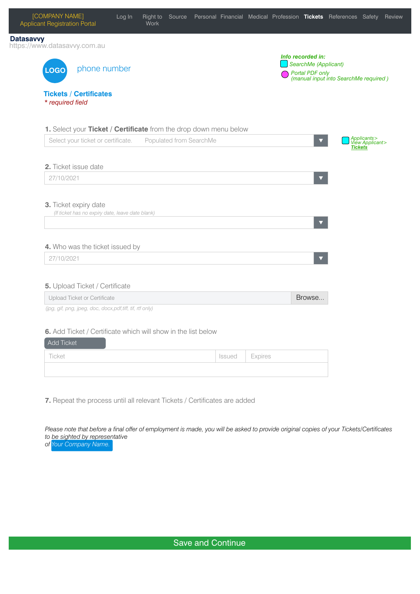

**7.** Repeat the process until all relevant Tickets / Certificates are added

*Please note that before a final offer of employment is made, you will be asked to provide original copies of your Tickets/Certificates to be sighted by representative of Your Company Name.*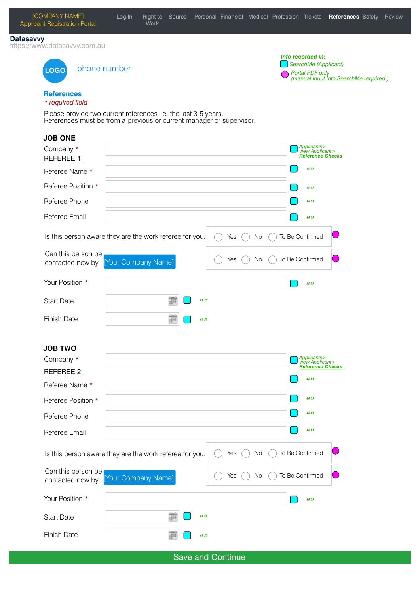| [COMPANY NAME]<br><b>Applicant Registration Portal</b>     | Log In<br>Right to Source<br><b>Work</b>                                                                                               |                   | Personal Financial Medical Profession Tickets References Safety |                                                              | Review                                |
|------------------------------------------------------------|----------------------------------------------------------------------------------------------------------------------------------------|-------------------|-----------------------------------------------------------------|--------------------------------------------------------------|---------------------------------------|
| <b>Datasavvy</b><br>https://www.datasavvy.com.au           |                                                                                                                                        |                   |                                                                 |                                                              |                                       |
| phone number<br><b>LOGO</b>                                |                                                                                                                                        |                   |                                                                 | Info recorded in:<br>SearchMe (Applicant)<br>Portal PDF only | (manual input into SearchMe required) |
| <b>References</b><br>* required field                      |                                                                                                                                        |                   |                                                                 |                                                              |                                       |
|                                                            | Please provide two current references i.e. the last 3-5 years.<br>References must be from a previous or current manager or supervisor. |                   |                                                                 |                                                              |                                       |
| <b>JOB ONE</b>                                             |                                                                                                                                        |                   |                                                                 |                                                              |                                       |
| Company *<br>REFEREE 1:                                    |                                                                                                                                        |                   |                                                                 | Applicants><br>View Applicant><br><b>Reference Checks</b>    |                                       |
| Referee Name *                                             |                                                                                                                                        |                   |                                                                 | 66.99                                                        |                                       |
| Referee Position *                                         |                                                                                                                                        |                   |                                                                 | 66.99                                                        |                                       |
| Referee Phone                                              |                                                                                                                                        |                   |                                                                 | 66.99                                                        |                                       |
| Referee Email                                              |                                                                                                                                        |                   |                                                                 | 66.99                                                        |                                       |
|                                                            | Is this person aware they are the work referee for you.                                                                                | Yes               | No                                                              | To Be Confirmed                                              |                                       |
| Can this person be<br>contacted now by [Your Company Name] |                                                                                                                                        | Yes               | No                                                              | To Be Confirmed                                              |                                       |
| Your Position *                                            |                                                                                                                                        |                   |                                                                 | 66.99                                                        |                                       |
| <b>Start Date</b>                                          | 箘<br>66.99                                                                                                                             |                   |                                                                 |                                                              |                                       |
| <b>Finish Date</b>                                         | 画<br>66.99                                                                                                                             |                   |                                                                 |                                                              |                                       |
| <b>JOB TWO</b>                                             |                                                                                                                                        |                   |                                                                 |                                                              |                                       |
| Company *                                                  |                                                                                                                                        |                   |                                                                 | Applicants><br>View Applicant>                               |                                       |
| REFEREE 2:                                                 |                                                                                                                                        |                   |                                                                 | <b>Reference Checks</b><br>66.99                             |                                       |
| Referee Name *                                             |                                                                                                                                        |                   |                                                                 |                                                              |                                       |
| Referee Position *                                         |                                                                                                                                        |                   |                                                                 | 66.99                                                        |                                       |
| Referee Phone                                              |                                                                                                                                        |                   |                                                                 | 66.99                                                        |                                       |
| Referee Email                                              |                                                                                                                                        |                   |                                                                 | 66.99                                                        |                                       |
|                                                            | Is this person aware they are the work referee for you.                                                                                | Yes               | No                                                              | To Be Confirmed                                              |                                       |
| Can this person be<br>contacted now by                     | [Your Company Name]                                                                                                                    | Yes               | No                                                              | To Be Confirmed                                              |                                       |
| Your Position *                                            |                                                                                                                                        |                   |                                                                 | 66.99                                                        |                                       |
| <b>Start Date</b>                                          | 箘<br>66.99                                                                                                                             |                   |                                                                 |                                                              |                                       |
| <b>Finish Date</b>                                         | 讍<br>66.99                                                                                                                             |                   |                                                                 |                                                              |                                       |
|                                                            |                                                                                                                                        | Save and Continue |                                                                 |                                                              |                                       |

[COMPANY NAME]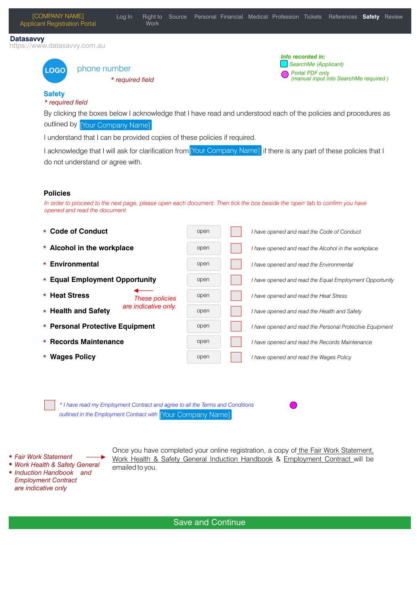**LOGO**

*\* required field* 



#### **Safety** *\* required field*

By clicking the boxes below I acknowledge that I have read and understood each of the policies and procedures as outlined by [Your Company Name]

I understand that I can be provided copies of these policies if required.

I acknowledge that I will ask for clarification from [Your Company Name] if there is any part of these policies that I do not understand or agree with.

### **Policies**

*In order to proceed to the next page, please open each document. Then tick the box beside the 'open' tab to confirm you have opened and read the document.*

| * Code of Conduct                           | open | I have opened and read the Code of Conduct               |
|---------------------------------------------|------|----------------------------------------------------------|
| * Alcohol in the workplace                  | open | I have opened and read the Alcohol in the workplace      |
| Environmental<br>$\star$                    | open | I have opened and read the Environmental                 |
| * Equal Employment Opportunity              | open | I have opened and read the Equal Employment Opportunity  |
| * Heat Stress<br><b>These policies</b>      | open | I have opened and read the Heat Stress                   |
| are indicative only.<br>* Health and Safety | open | I have opened and read the Health and Safety             |
| * Personal Protective Equipment             | open | I have opened and read the Personal Protective Equipment |
| <b>Records Maintenance</b><br>$\star$       | open | I have opened and read the Records Maintenance           |
| * Wages Policy                              | open | I have opened and read the Wages Policy                  |

*\* I have read my Employment Contract and agree to all the Terms and Conditions outlined in the Employment Contract with*  [Your Company Name]

- *Fair Work Statement*
- *Work Health & Safety General*
- Once you have completed your online registration, a copy of the Fair Work Statement. Work Health & Safety General Induction Handbook & Employment Contract will be emailed to you.
- *Induction Handbook and Employment Contract are indicative only*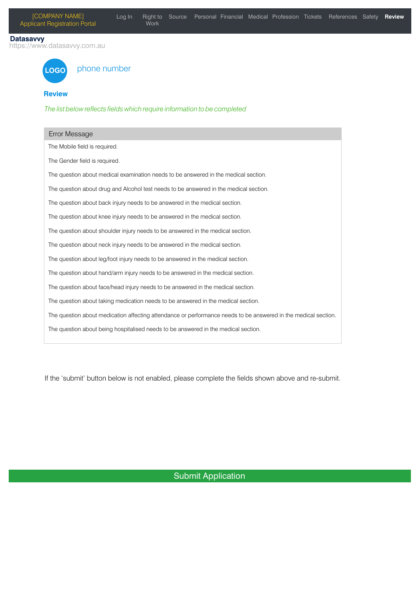#### **Datasavvy**

https://www.datasavvy.com.au



# phone number

### **Review**

The list below reflects fields which require information to be completed

| Error Message                                                                                                  |
|----------------------------------------------------------------------------------------------------------------|
| The Mobile field is required.                                                                                  |
| The Gender field is required.                                                                                  |
| The question about medical examination needs to be answered in the medical section.                            |
| The question about drug and Alcohol test needs to be answered in the medical section.                          |
| The question about back injury needs to be answered in the medical section.                                    |
| The question about knee injury needs to be answered in the medical section.                                    |
| The question about shoulder injury needs to be answered in the medical section.                                |
| The question about neck injury needs to be answered in the medical section.                                    |
| The question about leg/foot injury needs to be answered in the medical section.                                |
| The question about hand/arm injury needs to be answered in the medical section.                                |
| The question about face/head injury needs to be answered in the medical section.                               |
| The question about taking medication needs to be answered in the medical section.                              |
| The question about medication affecting attendance or performance needs to be answered in the medical section. |
| The question about being hospitalised needs to be answered in the medical section.                             |

If the 'submit' button below is not enabled, please complete the fields shown above and re-submit.

# Submit Application